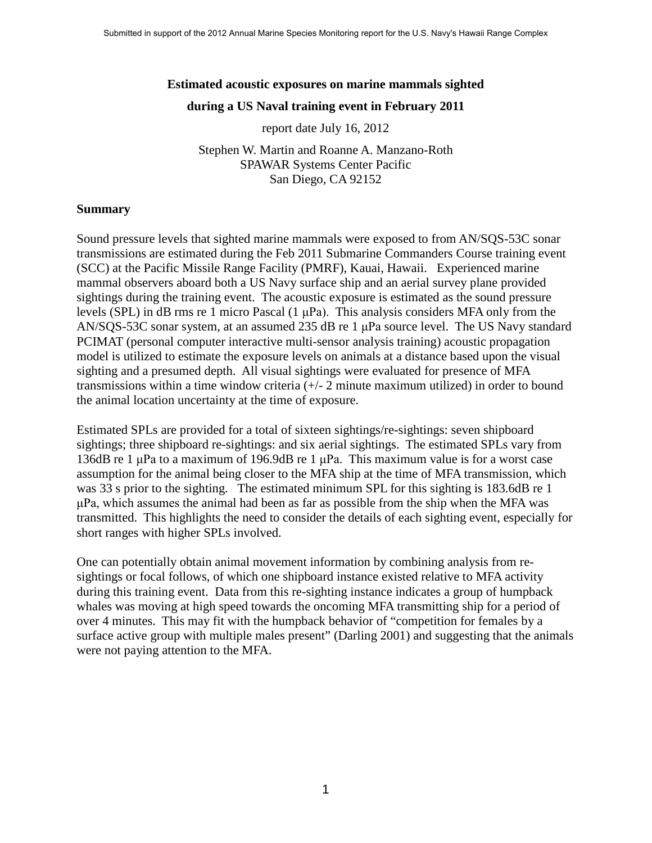# **Estimated acoustic exposures on marine mammals sighted during a US Naval training event in February 2011**

report date July 16, 2012

Stephen W. Martin and Roanne A. Manzano-Roth SPAWAR Systems Center Pacific San Diego, CA 92152

#### **Summary**

Sound pressure levels that sighted marine mammals were exposed to from AN/SQS-53C sonar transmissions are estimated during the Feb 2011 Submarine Commanders Course training event (SCC) at the Pacific Missile Range Facility (PMRF), Kauai, Hawaii. Experienced marine mammal observers aboard both a US Navy surface ship and an aerial survey plane provided sightings during the training event. The acoustic exposure is estimated as the sound pressure levels (SPL) in dB rms re 1 micro Pascal (1 μPa). This analysis considers MFA only from the AN/SQS-53C sonar system, at an assumed 235 dB re 1 μPa source level. The US Navy standard PCIMAT (personal computer interactive multi-sensor analysis training) acoustic propagation model is utilized to estimate the exposure levels on animals at a distance based upon the visual sighting and a presumed depth. All visual sightings were evaluated for presence of MFA transmissions within a time window criteria (+/- 2 minute maximum utilized) in order to bound the animal location uncertainty at the time of exposure.

Estimated SPLs are provided for a total of sixteen sightings/re-sightings: seven shipboard sightings; three shipboard re-sightings: and six aerial sightings. The estimated SPLs vary from 136dB re 1 μPa to a maximum of 196.9dB re 1 μPa. This maximum value is for a worst case assumption for the animal being closer to the MFA ship at the time of MFA transmission, which was 33 s prior to the sighting. The estimated minimum SPL for this sighting is 183.6dB re 1 μPa, which assumes the animal had been as far as possible from the ship when the MFA was transmitted. This highlights the need to consider the details of each sighting event, especially for short ranges with higher SPLs involved.

One can potentially obtain animal movement information by combining analysis from resightings or focal follows, of which one shipboard instance existed relative to MFA activity during this training event. Data from this re-sighting instance indicates a group of humpback whales was moving at high speed towards the oncoming MFA transmitting ship for a period of over 4 minutes. This may fit with the humpback behavior of "competition for females by a surface active group with multiple males present" (Darling 2001) and suggesting that the animals were not paying attention to the MFA.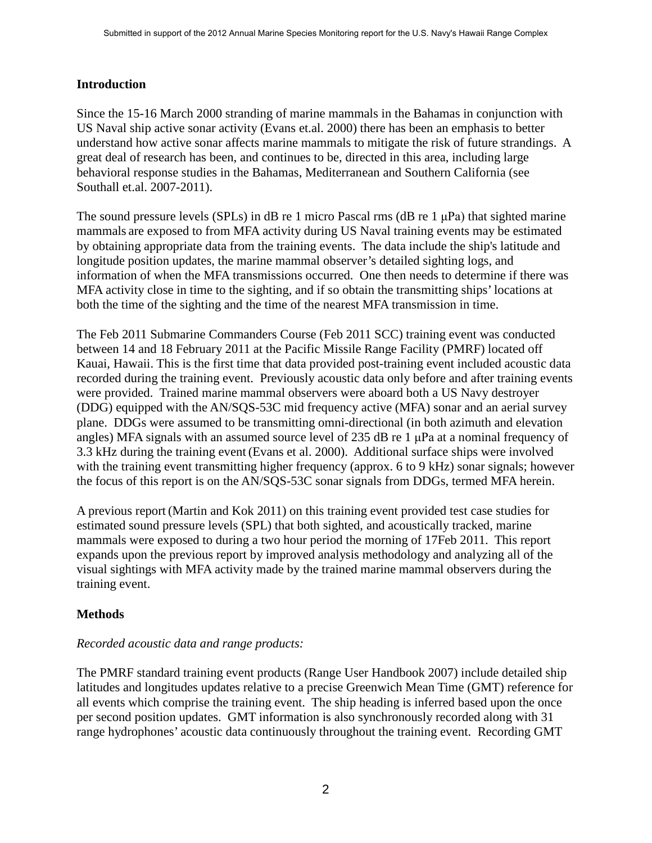# **Introduction**

Since the 15-16 March 2000 stranding of marine mammals in the Bahamas in conjunction with US Naval ship active sonar activity (Evans et.al. 2000) there has been an emphasis to better understand how active sonar affects marine mammals to mitigate the risk of future strandings. A great deal of research has been, and continues to be, directed in this area, including large behavioral response studies in the Bahamas, Mediterranean and Southern California (see Southall et.al. 2007-2011).

The sound pressure levels (SPLs) in dB re 1 micro Pascal rms (dB re 1 μPa) that sighted marine mammals are exposed to from MFA activity during US Naval training events may be estimated by obtaining appropriate data from the training events. The data include the ship's latitude and longitude position updates, the marine mammal observer's detailed sighting logs, and information of when the MFA transmissions occurred. One then needs to determine if there was MFA activity close in time to the sighting, and if so obtain the transmitting ships' locations at both the time of the sighting and the time of the nearest MFA transmission in time.

The Feb 2011 Submarine Commanders Course (Feb 2011 SCC) training event was conducted between 14 and 18 February 2011 at the Pacific Missile Range Facility (PMRF) located off Kauai, Hawaii. This is the first time that data provided post-training event included acoustic data recorded during the training event. Previously acoustic data only before and after training events were provided. Trained marine mammal observers were aboard both a US Navy destroyer (DDG) equipped with the AN/SQS-53C mid frequency active (MFA) sonar and an aerial survey plane. DDGs were assumed to be transmitting omni-directional (in both azimuth and elevation angles) MFA signals with an assumed source level of 235 dB re 1 μPa at a nominal frequency of 3.3 kHz during the training event (Evans et al. 2000). Additional surface ships were involved with the training event transmitting higher frequency (approx. 6 to 9 kHz) sonar signals; however the focus of this report is on the AN/SQS-53C sonar signals from DDGs, termed MFA herein.

A previous report (Martin and Kok 2011) on this training event provided test case studies for estimated sound pressure levels (SPL) that both sighted, and acoustically tracked, marine mammals were exposed to during a two hour period the morning of 17Feb 2011. This report expands upon the previous report by improved analysis methodology and analyzing all of the visual sightings with MFA activity made by the trained marine mammal observers during the training event.

# **Methods**

# *Recorded acoustic data and range products:*

The PMRF standard training event products (Range User Handbook 2007) include detailed ship latitudes and longitudes updates relative to a precise Greenwich Mean Time (GMT) reference for all events which comprise the training event. The ship heading is inferred based upon the once per second position updates. GMT information is also synchronously recorded along with 31 range hydrophones' acoustic data continuously throughout the training event. Recording GMT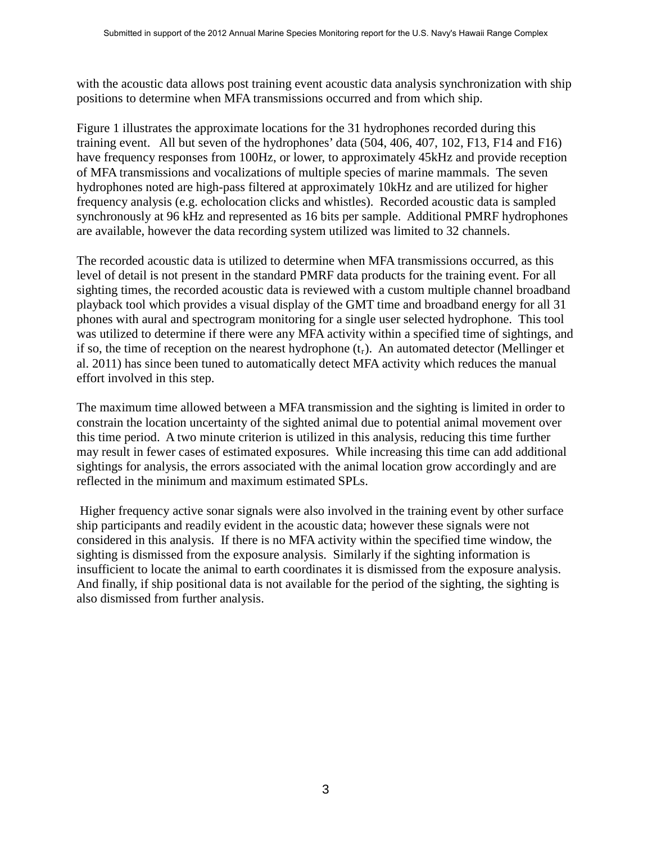with the acoustic data allows post training event acoustic data analysis synchronization with ship positions to determine when MFA transmissions occurred and from which ship.

Figure 1 illustrates the approximate locations for the 31 hydrophones recorded during this training event. All but seven of the hydrophones' data (504, 406, 407, 102, F13, F14 and F16) have frequency responses from 100Hz, or lower, to approximately 45kHz and provide reception of MFA transmissions and vocalizations of multiple species of marine mammals. The seven hydrophones noted are high-pass filtered at approximately 10kHz and are utilized for higher frequency analysis (e.g. echolocation clicks and whistles). Recorded acoustic data is sampled synchronously at 96 kHz and represented as 16 bits per sample. Additional PMRF hydrophones are available, however the data recording system utilized was limited to 32 channels.

The recorded acoustic data is utilized to determine when MFA transmissions occurred, as this level of detail is not present in the standard PMRF data products for the training event. For all sighting times, the recorded acoustic data is reviewed with a custom multiple channel broadband playback tool which provides a visual display of the GMT time and broadband energy for all 31 phones with aural and spectrogram monitoring for a single user selected hydrophone. This tool was utilized to determine if there were any MFA activity within a specified time of sightings, and if so, the time of reception on the nearest hydrophone  $(t_r)$ . An automated detector (Mellinger et al. 2011) has since been tuned to automatically detect MFA activity which reduces the manual effort involved in this step.

The maximum time allowed between a MFA transmission and the sighting is limited in order to constrain the location uncertainty of the sighted animal due to potential animal movement over this time period. A two minute criterion is utilized in this analysis, reducing this time further may result in fewer cases of estimated exposures. While increasing this time can add additional sightings for analysis, the errors associated with the animal location grow accordingly and are reflected in the minimum and maximum estimated SPLs.

Higher frequency active sonar signals were also involved in the training event by other surface ship participants and readily evident in the acoustic data; however these signals were not considered in this analysis. If there is no MFA activity within the specified time window, the sighting is dismissed from the exposure analysis. Similarly if the sighting information is insufficient to locate the animal to earth coordinates it is dismissed from the exposure analysis. And finally, if ship positional data is not available for the period of the sighting, the sighting is also dismissed from further analysis.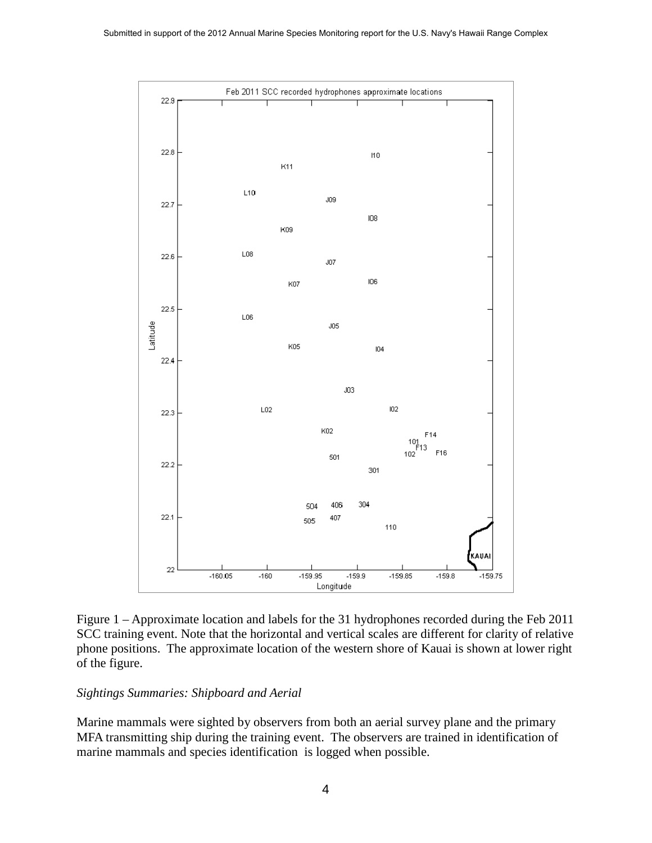

Figure 1 – Approximate location and labels for the 31 hydrophones recorded during the Feb 2011 SCC training event. Note that the horizontal and vertical scales are different for clarity of relative phone positions. The approximate location of the western shore of Kauai is shown at lower right of the figure.

## *Sightings Summaries: Shipboard and Aerial*

Marine mammals were sighted by observers from both an aerial survey plane and the primary MFA transmitting ship during the training event. The observers are trained in identification of marine mammals and species identification is logged when possible.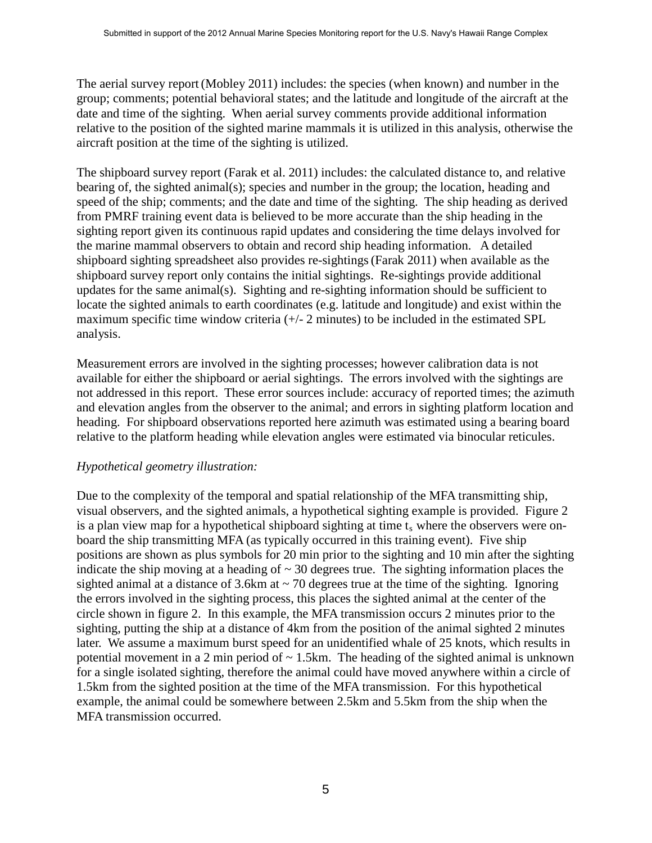The aerial survey report (Mobley 2011) includes: the species (when known) and number in the group; comments; potential behavioral states; and the latitude and longitude of the aircraft at the date and time of the sighting. When aerial survey comments provide additional information relative to the position of the sighted marine mammals it is utilized in this analysis, otherwise the aircraft position at the time of the sighting is utilized.

The shipboard survey report (Farak et al. 2011) includes: the calculated distance to, and relative bearing of, the sighted animal(s); species and number in the group; the location, heading and speed of the ship; comments; and the date and time of the sighting. The ship heading as derived from PMRF training event data is believed to be more accurate than the ship heading in the sighting report given its continuous rapid updates and considering the time delays involved for the marine mammal observers to obtain and record ship heading information. A detailed shipboard sighting spreadsheet also provides re-sightings(Farak 2011) when available as the shipboard survey report only contains the initial sightings. Re-sightings provide additional updates for the same animal(s). Sighting and re-sighting information should be sufficient to locate the sighted animals to earth coordinates (e.g. latitude and longitude) and exist within the maximum specific time window criteria (+/- 2 minutes) to be included in the estimated SPL analysis.

Measurement errors are involved in the sighting processes; however calibration data is not available for either the shipboard or aerial sightings. The errors involved with the sightings are not addressed in this report. These error sources include: accuracy of reported times; the azimuth and elevation angles from the observer to the animal; and errors in sighting platform location and heading. For shipboard observations reported here azimuth was estimated using a bearing board relative to the platform heading while elevation angles were estimated via binocular reticules.

## *Hypothetical geometry illustration:*

Due to the complexity of the temporal and spatial relationship of the MFA transmitting ship, visual observers, and the sighted animals, a hypothetical sighting example is provided. Figure 2 is a plan view map for a hypothetical shipboard sighting at time  $t<sub>s</sub>$  where the observers were onboard the ship transmitting MFA (as typically occurred in this training event). Five ship positions are shown as plus symbols for 20 min prior to the sighting and 10 min after the sighting indicate the ship moving at a heading of  $\sim$  30 degrees true. The sighting information places the sighted animal at a distance of 3.6km at  $\sim$  70 degrees true at the time of the sighting. Ignoring the errors involved in the sighting process, this places the sighted animal at the center of the circle shown in figure 2. In this example, the MFA transmission occurs 2 minutes prior to the sighting, putting the ship at a distance of 4km from the position of the animal sighted 2 minutes later. We assume a maximum burst speed for an unidentified whale of 25 knots, which results in potential movement in a 2 min period of  $\sim$  1.5km. The heading of the sighted animal is unknown for a single isolated sighting, therefore the animal could have moved anywhere within a circle of 1.5km from the sighted position at the time of the MFA transmission. For this hypothetical example, the animal could be somewhere between 2.5km and 5.5km from the ship when the MFA transmission occurred.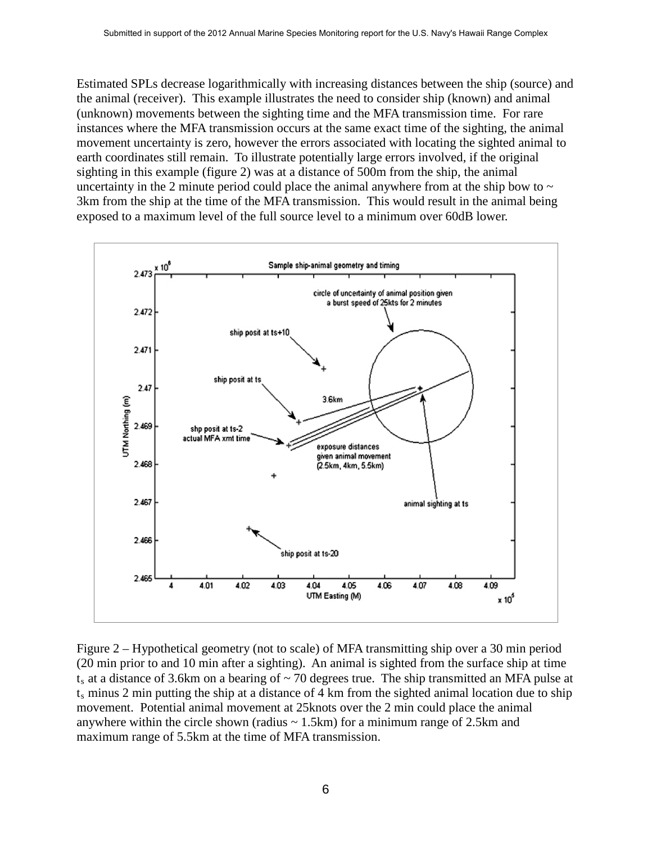Estimated SPLs decrease logarithmically with increasing distances between the ship (source) and the animal (receiver). This example illustrates the need to consider ship (known) and animal (unknown) movements between the sighting time and the MFA transmission time. For rare instances where the MFA transmission occurs at the same exact time of the sighting, the animal movement uncertainty is zero, however the errors associated with locating the sighted animal to earth coordinates still remain. To illustrate potentially large errors involved, if the original sighting in this example (figure 2) was at a distance of 500m from the ship, the animal uncertainty in the 2 minute period could place the animal anywhere from at the ship bow to  $\sim$ 3km from the ship at the time of the MFA transmission. This would result in the animal being exposed to a maximum level of the full source level to a minimum over 60dB lower.



Figure 2 – Hypothetical geometry (not to scale) of MFA transmitting ship over a 30 min period (20 min prior to and 10 min after a sighting). An animal is sighted from the surface ship at time  $t_s$  at a distance of 3.6km on a bearing of  $\sim$  70 degrees true. The ship transmitted an MFA pulse at  $t_s$  minus 2 min putting the ship at a distance of 4 km from the sighted animal location due to ship movement. Potential animal movement at 25knots over the 2 min could place the animal anywhere within the circle shown (radius  $\sim$  1.5km) for a minimum range of 2.5km and maximum range of 5.5km at the time of MFA transmission.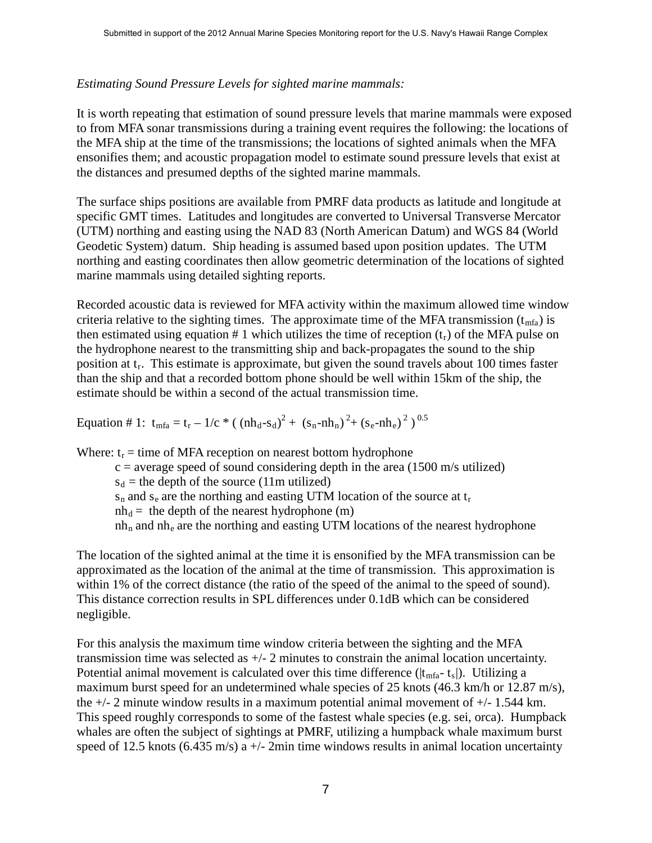# *Estimating Sound Pressure Levels for sighted marine mammals:*

It is worth repeating that estimation of sound pressure levels that marine mammals were exposed to from MFA sonar transmissions during a training event requires the following: the locations of the MFA ship at the time of the transmissions; the locations of sighted animals when the MFA ensonifies them; and acoustic propagation model to estimate sound pressure levels that exist at the distances and presumed depths of the sighted marine mammals.

The surface ships positions are available from PMRF data products as latitude and longitude at specific GMT times. Latitudes and longitudes are converted to Universal Transverse Mercator (UTM) northing and easting using the NAD 83 (North American Datum) and WGS 84 (World Geodetic System) datum. Ship heading is assumed based upon position updates. The UTM northing and easting coordinates then allow geometric determination of the locations of sighted marine mammals using detailed sighting reports.

Recorded acoustic data is reviewed for MFA activity within the maximum allowed time window criteria relative to the sighting times. The approximate time of the MFA transmission  $(t_{mfa})$  is then estimated using equation # 1 which utilizes the time of reception  $(t_r)$  of the MFA pulse on the hydrophone nearest to the transmitting ship and back-propagates the sound to the ship position at  $t_r$ . This estimate is approximate, but given the sound travels about 100 times faster than the ship and that a recorded bottom phone should be well within 15km of the ship, the estimate should be within a second of the actual transmission time.

Equation # 1:  $t_{mfa} = t_r - 1/c$  \* (  $(mh_d-s_d)^2 + (s_n-mh_n)^2 + (s_e-mh_e)^2$  )<sup>0.5</sup>

Where:  $t_r =$  time of MFA reception on nearest bottom hydrophone

 $c =$  average speed of sound considering depth in the area (1500 m/s utilized)

 $s_d$  = the depth of the source (11m utilized)

 $s_n$  and  $s_e$  are the northing and easting UTM location of the source at  $t_r$ 

 $nh_d =$  the depth of the nearest hydrophone (m)

 $nh_n$  and  $nh_e$  are the northing and easting UTM locations of the nearest hydrophone

The location of the sighted animal at the time it is ensonified by the MFA transmission can be approximated as the location of the animal at the time of transmission. This approximation is within 1% of the correct distance (the ratio of the speed of the animal to the speed of sound). This distance correction results in SPL differences under 0.1dB which can be considered negligible.

For this analysis the maximum time window criteria between the sighting and the MFA transmission time was selected as +/- 2 minutes to constrain the animal location uncertainty. Potential animal movement is calculated over this time difference ( $|t_{mfa} - t_s|$ ). Utilizing a maximum burst speed for an undetermined whale species of 25 knots (46.3 km/h or 12.87 m/s), the +/- 2 minute window results in a maximum potential animal movement of +/- 1.544 km. This speed roughly corresponds to some of the fastest whale species (e.g. sei, orca). Humpback whales are often the subject of sightings at PMRF, utilizing a humpback whale maximum burst speed of 12.5 knots (6.435 m/s) a  $+/-$  2min time windows results in animal location uncertainty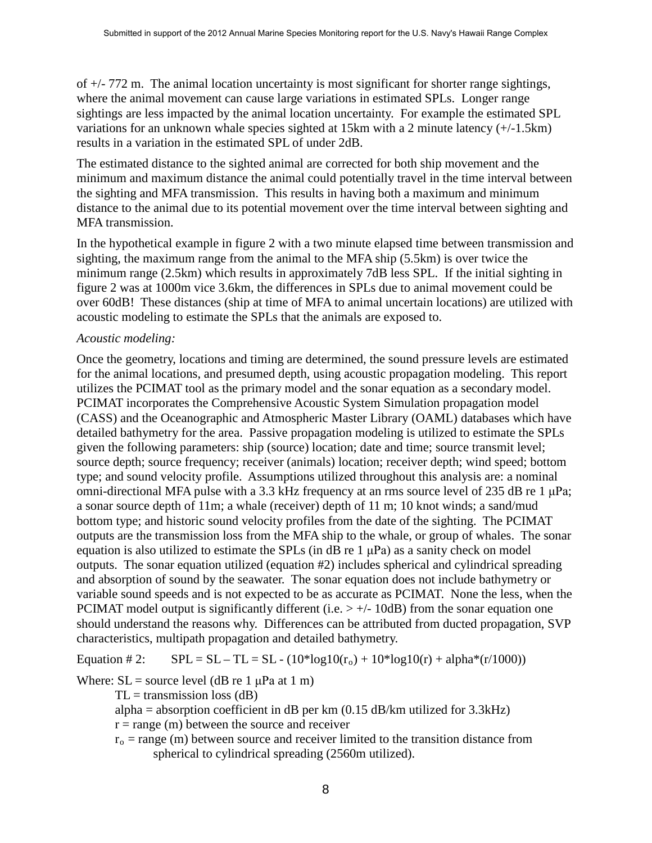of  $+/-$  772 m. The animal location uncertainty is most significant for shorter range sightings, where the animal movement can cause large variations in estimated SPLs. Longer range sightings are less impacted by the animal location uncertainty. For example the estimated SPL variations for an unknown whale species sighted at 15km with a 2 minute latency (+/-1.5km) results in a variation in the estimated SPL of under 2dB.

The estimated distance to the sighted animal are corrected for both ship movement and the minimum and maximum distance the animal could potentially travel in the time interval between the sighting and MFA transmission. This results in having both a maximum and minimum distance to the animal due to its potential movement over the time interval between sighting and MFA transmission.

In the hypothetical example in figure 2 with a two minute elapsed time between transmission and sighting, the maximum range from the animal to the MFA ship (5.5km) is over twice the minimum range (2.5km) which results in approximately 7dB less SPL. If the initial sighting in figure 2 was at 1000m vice 3.6km, the differences in SPLs due to animal movement could be over 60dB! These distances (ship at time of MFA to animal uncertain locations) are utilized with acoustic modeling to estimate the SPLs that the animals are exposed to.

#### *Acoustic modeling:*

Once the geometry, locations and timing are determined, the sound pressure levels are estimated for the animal locations, and presumed depth, using acoustic propagation modeling. This report utilizes the PCIMAT tool as the primary model and the sonar equation as a secondary model. PCIMAT incorporates the Comprehensive Acoustic System Simulation propagation model (CASS) and the Oceanographic and Atmospheric Master Library (OAML) databases which have detailed bathymetry for the area. Passive propagation modeling is utilized to estimate the SPLs given the following parameters: ship (source) location; date and time; source transmit level; source depth; source frequency; receiver (animals) location; receiver depth; wind speed; bottom type; and sound velocity profile. Assumptions utilized throughout this analysis are: a nominal omni-directional MFA pulse with a 3.3 kHz frequency at an rms source level of 235 dB re 1 μPa; a sonar source depth of 11m; a whale (receiver) depth of 11 m; 10 knot winds; a sand/mud bottom type; and historic sound velocity profiles from the date of the sighting. The PCIMAT outputs are the transmission loss from the MFA ship to the whale, or group of whales. The sonar equation is also utilized to estimate the SPLs (in dB re  $1 \mu Pa$ ) as a sanity check on model outputs. The sonar equation utilized (equation #2) includes spherical and cylindrical spreading and absorption of sound by the seawater. The sonar equation does not include bathymetry or variable sound speeds and is not expected to be as accurate as PCIMAT. None the less, when the PCIMAT model output is significantly different (i.e.  $> +/-10$ dB) from the sonar equation one should understand the reasons why. Differences can be attributed from ducted propagation, SVP characteristics, multipath propagation and detailed bathymetry.

Equation # 2:  $SPL = SL - TL = SL - (10*log10(r_0) + 10*log10(r) + alpha*(r/1000))$ 

## Where:  $SL =$  source level (dB re 1  $\mu$ Pa at 1 m)

 $TL =$  transmission loss (dB)

alpha = absorption coefficient in dB per km  $(0.15 \text{ dB/km}$  utilized for 3.3kHz)

 $r = range(m)$  between the source and receiver

 $r_0$  = range (m) between source and receiver limited to the transition distance from spherical to cylindrical spreading (2560m utilized).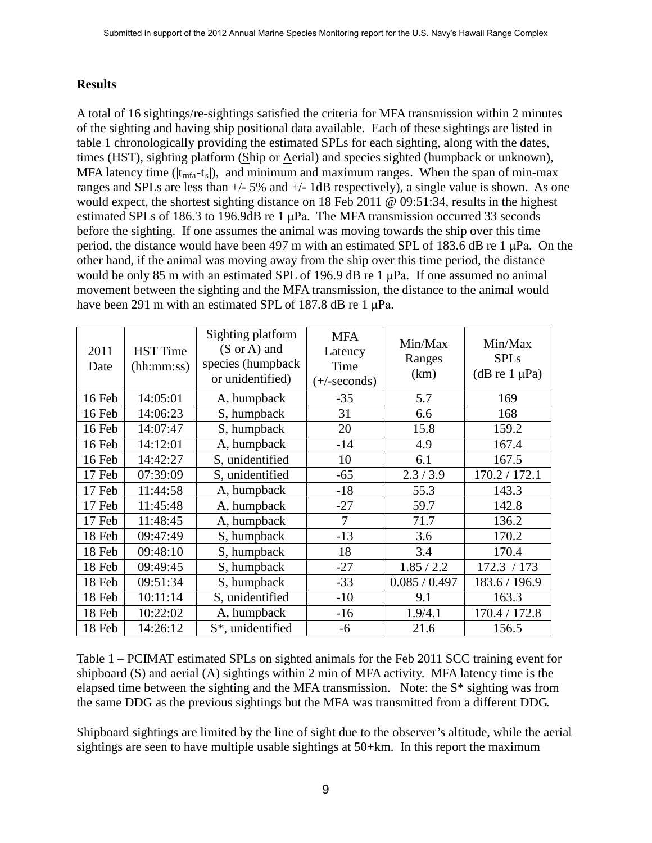# **Results**

A total of 16 sightings/re-sightings satisfied the criteria for MFA transmission within 2 minutes of the sighting and having ship positional data available. Each of these sightings are listed in table 1 chronologically providing the estimated SPLs for each sighting, along with the dates, times (HST), sighting platform (Ship or Aerial) and species sighted (humpback or unknown), MFA latency time ( $|t_{mfa}-t_s|$ ), and minimum and maximum ranges. When the span of min-max ranges and SPLs are less than  $+/- 5\%$  and  $+/- 1$ dB respectively), a single value is shown. As one would expect, the shortest sighting distance on 18 Feb 2011 @ 09:51:34, results in the highest estimated SPLs of 186.3 to 196.9dB re 1 μPa. The MFA transmission occurred 33 seconds before the sighting. If one assumes the animal was moving towards the ship over this time period, the distance would have been 497 m with an estimated SPL of 183.6 dB re 1 μPa. On the other hand, if the animal was moving away from the ship over this time period, the distance would be only 85 m with an estimated SPL of 196.9 dB re 1 μPa. If one assumed no animal movement between the sighting and the MFA transmission, the distance to the animal would have been 291 m with an estimated SPL of 187.8 dB re 1 μPa.

| 2011<br>Date | <b>HST</b> Time<br>(hh:mm:ss) | Sighting platform<br>$(S \text{ or } A)$ and<br>species (humpback<br>or unidentified) | <b>MFA</b><br>Latency<br>Time<br>$(+/-seconds)$ | Min/Max<br>Ranges<br>(km) | Min/Max<br><b>SPLs</b><br>(dB re $1 \mu Pa$ ) |
|--------------|-------------------------------|---------------------------------------------------------------------------------------|-------------------------------------------------|---------------------------|-----------------------------------------------|
| 16 Feb       | 14:05:01                      | A, humpback                                                                           | $-35$                                           | 5.7                       | 169                                           |
| 16 Feb       | 14:06:23                      | S, humpback                                                                           | 31                                              | 6.6                       | 168                                           |
| 16 Feb       | 14:07:47                      | S, humpback                                                                           | 20                                              | 15.8                      | 159.2                                         |
| 16 Feb       | 14:12:01                      | A, humpback                                                                           | $-14$                                           | 4.9                       | 167.4                                         |
| 16 Feb       | 14:42:27                      | S, unidentified                                                                       | 10                                              | 6.1                       | 167.5                                         |
| 17 Feb       | 07:39:09                      | S, unidentified                                                                       | $-65$                                           | 2.3/3.9                   | 170.2 / 172.1                                 |
| 17 Feb       | 11:44:58                      | A, humpback                                                                           | $-18$                                           | 55.3                      | 143.3                                         |
| 17 Feb       | 11:45:48                      | A, humpback                                                                           | $-27$                                           | 59.7                      | 142.8                                         |
| 17 Feb       | 11:48:45                      | A, humpback                                                                           | 7                                               | 71.7                      | 136.2                                         |
| 18 Feb       | 09:47:49                      | S, humpback                                                                           | $-13$                                           | 3.6                       | 170.2                                         |
| 18 Feb       | 09:48:10                      | S, humpback                                                                           | 18                                              | 3.4                       | 170.4                                         |
| 18 Feb       | 09:49:45                      | S, humpback                                                                           | $-27$                                           | 1.85 / 2.2                | 172.3 / 173                                   |
| 18 Feb       | 09:51:34                      | S, humpback                                                                           | $-33$                                           | 0.085 / 0.497             | 183.6 / 196.9                                 |
| 18 Feb       | 10:11:14                      | S, unidentified                                                                       | $-10$                                           | 9.1                       | 163.3                                         |
| 18 Feb       | 10:22:02                      | A, humpback                                                                           | $-16$                                           | 1.9/4.1                   | 170.4 / 172.8                                 |
| 18 Feb       | 14:26:12                      | S*, unidentified                                                                      | -6                                              | 21.6                      | 156.5                                         |

Table 1 – PCIMAT estimated SPLs on sighted animals for the Feb 2011 SCC training event for shipboard (S) and aerial (A) sightings within 2 min of MFA activity. MFA latency time is the elapsed time between the sighting and the MFA transmission. Note: the S\* sighting was from the same DDG as the previous sightings but the MFA was transmitted from a different DDG.

Shipboard sightings are limited by the line of sight due to the observer's altitude, while the aerial sightings are seen to have multiple usable sightings at 50+km. In this report the maximum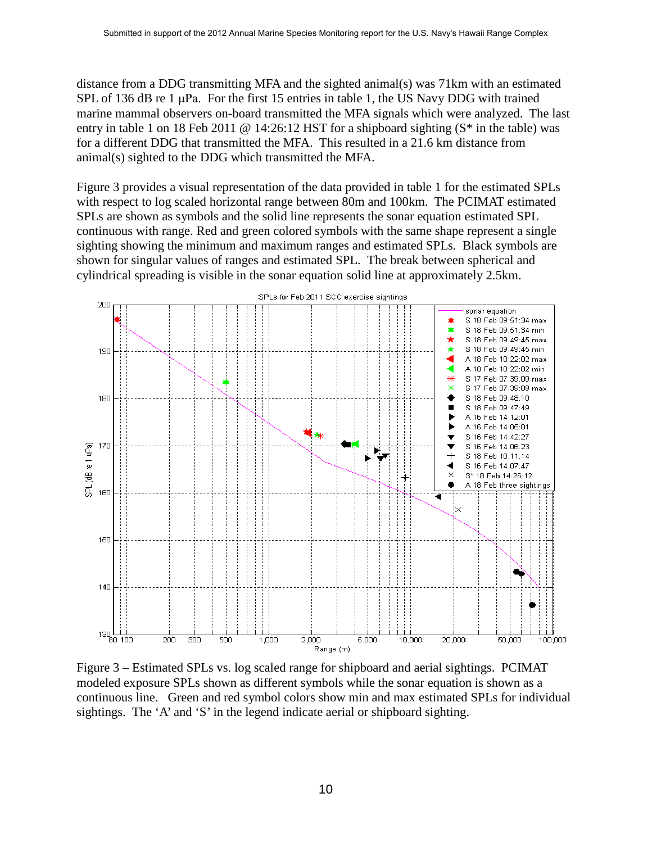distance from a DDG transmitting MFA and the sighted animal(s) was  $71 \text{km}$  with an estimated SPL of 136 dB re 1  $\mu$ Pa. For the first 15 entries in table 1, the US Navy DDG with trained marine mammal observers on-board transmitted the MFA signals which were analyzed. The last entry in table 1 on 18 Feb 2011 @ 14:26:12 HST for a shipboard sighting (S<sup>\*</sup> in the table) was for a different DDG that transmitted the MFA. This resulted in a 21.6 km distance from animal(s) sighted to the DDG which transmitted the MFA.

Figure 3 provides a visual representation of the data provided in table 1 for the estimated SPLs with respect to log scaled horizontal range between 80m and 100km. The PCIMAT estimated SPLs are shown as symbols and the solid line represents the sonar equation estimated SPL continuous with range. Red and green colored symbols with the same shape represent a single sighting showing the minimum and maximum ranges and estimated SPLs. Black symbols are shown for singular values of ranges and estimated SPL. The break between spherical and cylindrical spreading is visible in the sonar equation solid line at approximately 2.5km.



Figure 3 – Estimated SPLs vs. log scaled range for shipboard and aerial sightings. PCIMAT modeled exposure SPLs shown as different symbols while the sonar equation is shown as a continuous line. Green and red symbol colors show min and max estimated SPLs for individual sightings. The 'A' and 'S' in the legend indicate aerial or shipboard sighting.

10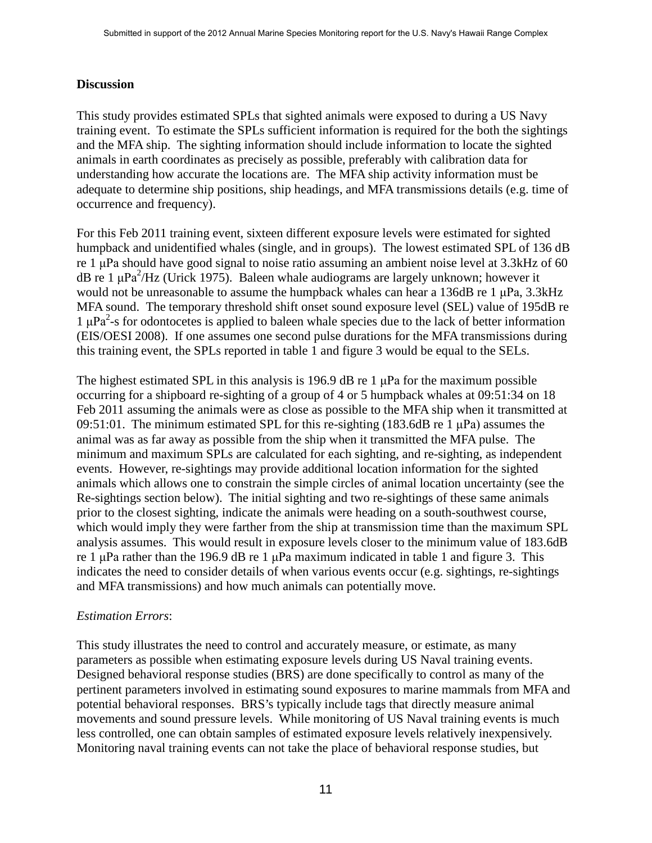# **Discussion**

This study provides estimated SPLs that sighted animals were exposed to during a US Navy training event. To estimate the SPLs sufficient information is required for the both the sightings and the MFA ship. The sighting information should include information to locate the sighted animals in earth coordinates as precisely as possible, preferably with calibration data for understanding how accurate the locations are. The MFA ship activity information must be adequate to determine ship positions, ship headings, and MFA transmissions details (e.g. time of occurrence and frequency).

For this Feb 2011 training event, sixteen different exposure levels were estimated for sighted humpback and unidentified whales (single, and in groups). The lowest estimated SPL of 136 dB re 1 μPa should have good signal to noise ratio assuming an ambient noise level at 3.3kHz of 60 dB re 1  $\mu$ Pa<sup>2</sup>/Hz (Urick 1975). Baleen whale audiograms are largely unknown; however it would not be unreasonable to assume the humpback whales can hear a 136dB re 1 μPa, 3.3kHz MFA sound. The temporary threshold shift onset sound exposure level (SEL) value of 195dB re  $1 \mu Pa^2$ -s for odontocetes is applied to baleen whale species due to the lack of better information (EIS/OESI 2008). If one assumes one second pulse durations for the MFA transmissions during this training event, the SPLs reported in table 1 and figure 3 would be equal to the SELs.

The highest estimated SPL in this analysis is 196.9 dB re 1 μPa for the maximum possible occurring for a shipboard re-sighting of a group of 4 or 5 humpback whales at 09:51:34 on 18 Feb 2011 assuming the animals were as close as possible to the MFA ship when it transmitted at 09:51:01. The minimum estimated SPL for this re-sighting (183.6dB re 1  $\mu$ Pa) assumes the animal was as far away as possible from the ship when it transmitted the MFA pulse. The minimum and maximum SPLs are calculated for each sighting, and re-sighting, as independent events. However, re-sightings may provide additional location information for the sighted animals which allows one to constrain the simple circles of animal location uncertainty (see the Re-sightings section below). The initial sighting and two re-sightings of these same animals prior to the closest sighting, indicate the animals were heading on a south-southwest course, which would imply they were farther from the ship at transmission time than the maximum SPL analysis assumes. This would result in exposure levels closer to the minimum value of 183.6dB re 1 μPa rather than the 196.9 dB re 1 μPa maximum indicated in table 1 and figure 3. This indicates the need to consider details of when various events occur (e.g. sightings, re-sightings and MFA transmissions) and how much animals can potentially move.

## *Estimation Errors*:

This study illustrates the need to control and accurately measure, or estimate, as many parameters as possible when estimating exposure levels during US Naval training events. Designed behavioral response studies (BRS) are done specifically to control as many of the pertinent parameters involved in estimating sound exposures to marine mammals from MFA and potential behavioral responses. BRS's typically include tags that directly measure animal movements and sound pressure levels. While monitoring of US Naval training events is much less controlled, one can obtain samples of estimated exposure levels relatively inexpensively. Monitoring naval training events can not take the place of behavioral response studies, but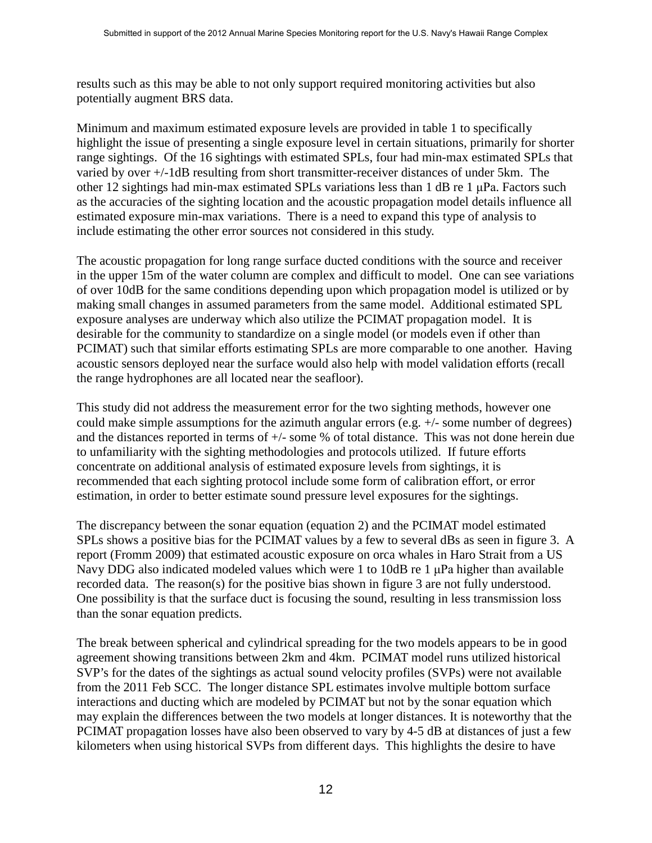results such as this may be able to not only support required monitoring activities but also potentially augment BRS data.

Minimum and maximum estimated exposure levels are provided in table 1 to specifically highlight the issue of presenting a single exposure level in certain situations, primarily for shorter range sightings. Of the 16 sightings with estimated SPLs, four had min-max estimated SPLs that varied by over +/-1dB resulting from short transmitter-receiver distances of under 5km. The other 12 sightings had min-max estimated SPLs variations less than 1 dB re 1 μPa. Factors such as the accuracies of the sighting location and the acoustic propagation model details influence all estimated exposure min-max variations. There is a need to expand this type of analysis to include estimating the other error sources not considered in this study.

The acoustic propagation for long range surface ducted conditions with the source and receiver in the upper 15m of the water column are complex and difficult to model. One can see variations of over 10dB for the same conditions depending upon which propagation model is utilized or by making small changes in assumed parameters from the same model. Additional estimated SPL exposure analyses are underway which also utilize the PCIMAT propagation model. It is desirable for the community to standardize on a single model (or models even if other than PCIMAT) such that similar efforts estimating SPLs are more comparable to one another. Having acoustic sensors deployed near the surface would also help with model validation efforts (recall the range hydrophones are all located near the seafloor).

This study did not address the measurement error for the two sighting methods, however one could make simple assumptions for the azimuth angular errors (e.g. +/- some number of degrees) and the distances reported in terms of +/- some % of total distance. This was not done herein due to unfamiliarity with the sighting methodologies and protocols utilized. If future efforts concentrate on additional analysis of estimated exposure levels from sightings, it is recommended that each sighting protocol include some form of calibration effort, or error estimation, in order to better estimate sound pressure level exposures for the sightings.

The discrepancy between the sonar equation (equation 2) and the PCIMAT model estimated SPLs shows a positive bias for the PCIMAT values by a few to several dBs as seen in figure 3. A report (Fromm 2009) that estimated acoustic exposure on orca whales in Haro Strait from a US Navy DDG also indicated modeled values which were 1 to 10dB re 1 μPa higher than available recorded data. The reason(s) for the positive bias shown in figure 3 are not fully understood. One possibility is that the surface duct is focusing the sound, resulting in less transmission loss than the sonar equation predicts.

The break between spherical and cylindrical spreading for the two models appears to be in good agreement showing transitions between 2km and 4km. PCIMAT model runs utilized historical SVP's for the dates of the sightings as actual sound velocity profiles (SVPs) were not available from the 2011 Feb SCC. The longer distance SPL estimates involve multiple bottom surface interactions and ducting which are modeled by PCIMAT but not by the sonar equation which may explain the differences between the two models at longer distances. It is noteworthy that the PCIMAT propagation losses have also been observed to vary by 4-5 dB at distances of just a few kilometers when using historical SVPs from different days. This highlights the desire to have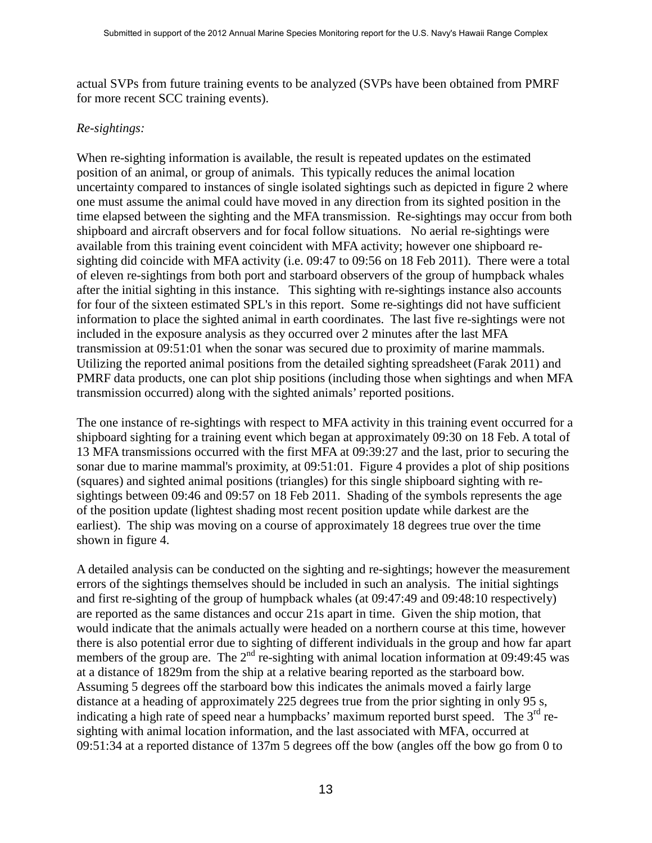actual SVPs from future training events to be analyzed (SVPs have been obtained from PMRF for more recent SCC training events).

## *Re-sightings:*

When re-sighting information is available, the result is repeated updates on the estimated position of an animal, or group of animals. This typically reduces the animal location uncertainty compared to instances of single isolated sightings such as depicted in figure 2 where one must assume the animal could have moved in any direction from its sighted position in the time elapsed between the sighting and the MFA transmission. Re-sightings may occur from both shipboard and aircraft observers and for focal follow situations. No aerial re-sightings were available from this training event coincident with MFA activity; however one shipboard resighting did coincide with MFA activity (i.e. 09:47 to 09:56 on 18 Feb 2011). There were a total of eleven re-sightings from both port and starboard observers of the group of humpback whales after the initial sighting in this instance. This sighting with re-sightings instance also accounts for four of the sixteen estimated SPL's in this report. Some re-sightings did not have sufficient information to place the sighted animal in earth coordinates. The last five re-sightings were not included in the exposure analysis as they occurred over 2 minutes after the last MFA transmission at 09:51:01 when the sonar was secured due to proximity of marine mammals. Utilizing the reported animal positions from the detailed sighting spreadsheet (Farak 2011) and PMRF data products, one can plot ship positions (including those when sightings and when MFA transmission occurred) along with the sighted animals' reported positions.

The one instance of re-sightings with respect to MFA activity in this training event occurred for a shipboard sighting for a training event which began at approximately 09:30 on 18 Feb. A total of 13 MFA transmissions occurred with the first MFA at 09:39:27 and the last, prior to securing the sonar due to marine mammal's proximity, at 09:51:01. Figure 4 provides a plot of ship positions (squares) and sighted animal positions (triangles) for this single shipboard sighting with resightings between 09:46 and 09:57 on 18 Feb 2011. Shading of the symbols represents the age of the position update (lightest shading most recent position update while darkest are the earliest). The ship was moving on a course of approximately 18 degrees true over the time shown in figure 4.

A detailed analysis can be conducted on the sighting and re-sightings; however the measurement errors of the sightings themselves should be included in such an analysis. The initial sightings and first re-sighting of the group of humpback whales (at 09:47:49 and 09:48:10 respectively) are reported as the same distances and occur 21s apart in time. Given the ship motion, that would indicate that the animals actually were headed on a northern course at this time, however there is also potential error due to sighting of different individuals in the group and how far apart members of the group are. The  $2<sup>nd</sup>$  re-sighting with animal location information at 09:49:45 was at a distance of 1829m from the ship at a relative bearing reported as the starboard bow. Assuming 5 degrees off the starboard bow this indicates the animals moved a fairly large distance at a heading of approximately 225 degrees true from the prior sighting in only 95 s, indicating a high rate of speed near a humpbacks' maximum reported burst speed. The  $3<sup>rd</sup>$  resighting with animal location information, and the last associated with MFA, occurred at 09:51:34 at a reported distance of 137m 5 degrees off the bow (angles off the bow go from 0 to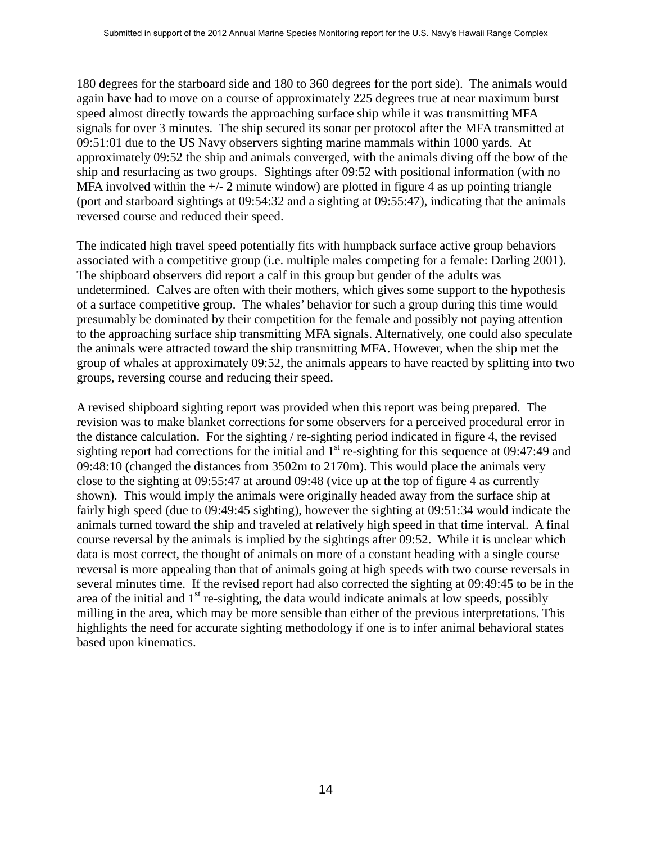180 degrees for the starboard side and 180 to 360 degrees for the port side). The animals would again have had to move on a course of approximately 225 degrees true at near maximum burst speed almost directly towards the approaching surface ship while it was transmitting MFA signals for over 3 minutes. The ship secured its sonar per protocol after the MFA transmitted at 09:51:01 due to the US Navy observers sighting marine mammals within 1000 yards. At approximately 09:52 the ship and animals converged, with the animals diving off the bow of the ship and resurfacing as two groups. Sightings after 09:52 with positional information (with no MFA involved within the  $+/- 2$  minute window) are plotted in figure 4 as up pointing triangle (port and starboard sightings at 09:54:32 and a sighting at 09:55:47), indicating that the animals reversed course and reduced their speed.

The indicated high travel speed potentially fits with humpback surface active group behaviors associated with a competitive group (i.e. multiple males competing for a female: Darling 2001). The shipboard observers did report a calf in this group but gender of the adults was undetermined. Calves are often with their mothers, which gives some support to the hypothesis of a surface competitive group. The whales' behavior for such a group during this time would presumably be dominated by their competition for the female and possibly not paying attention to the approaching surface ship transmitting MFA signals. Alternatively, one could also speculate the animals were attracted toward the ship transmitting MFA. However, when the ship met the group of whales at approximately 09:52, the animals appears to have reacted by splitting into two groups, reversing course and reducing their speed.

A revised shipboard sighting report was provided when this report was being prepared. The revision was to make blanket corrections for some observers for a perceived procedural error in the distance calculation. For the sighting / re-sighting period indicated in figure 4, the revised sighting report had corrections for the initial and  $1<sup>st</sup>$  re-sighting for this sequence at 09:47:49 and 09:48:10 (changed the distances from 3502m to 2170m). This would place the animals very close to the sighting at 09:55:47 at around 09:48 (vice up at the top of figure 4 as currently shown). This would imply the animals were originally headed away from the surface ship at fairly high speed (due to 09:49:45 sighting), however the sighting at 09:51:34 would indicate the animals turned toward the ship and traveled at relatively high speed in that time interval. A final course reversal by the animals is implied by the sightings after 09:52. While it is unclear which data is most correct, the thought of animals on more of a constant heading with a single course reversal is more appealing than that of animals going at high speeds with two course reversals in several minutes time. If the revised report had also corrected the sighting at 09:49:45 to be in the area of the initial and  $1<sup>st</sup>$  re-sighting, the data would indicate animals at low speeds, possibly milling in the area, which may be more sensible than either of the previous interpretations. This highlights the need for accurate sighting methodology if one is to infer animal behavioral states based upon kinematics.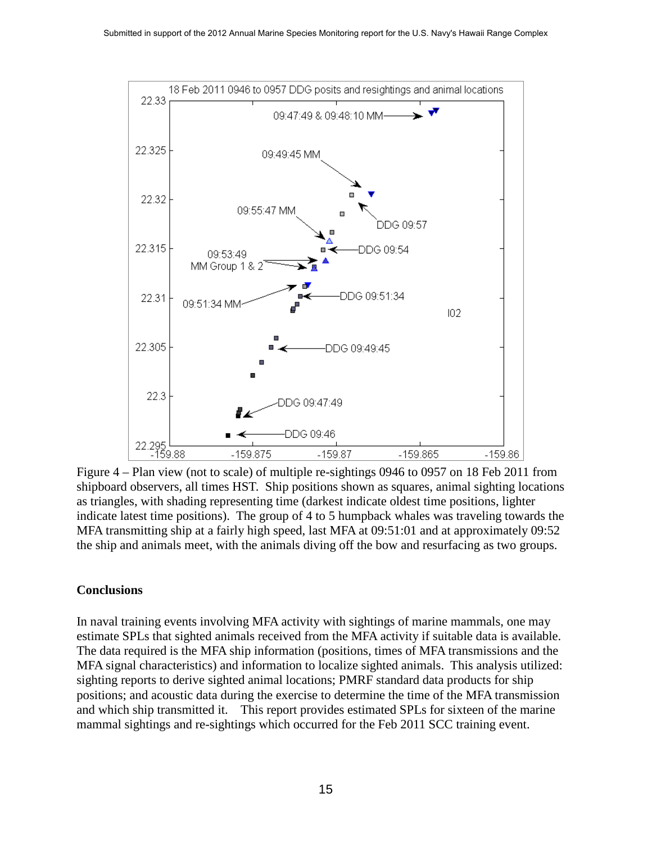

Figure 4 – Plan view (not to scale) of multiple re-sightings 0946 to 0957 on 18 Feb 2011 from shipboard observers, all times HST. Ship positions shown as squares, animal sighting locations as triangles, with shading representing time (darkest indicate oldest time positions, lighter indicate latest time positions). The group of 4 to 5 humpback whales was traveling towards the MFA transmitting ship at a fairly high speed, last MFA at 09:51:01 and at approximately 09:52 the ship and animals meet, with the animals diving off the bow and resurfacing as two groups.

## **Conclusions**

In naval training events involving MFA activity with sightings of marine mammals, one may estimate SPLs that sighted animals received from the MFA activity if suitable data is available. The data required is the MFA ship information (positions, times of MFA transmissions and the MFA signal characteristics) and information to localize sighted animals. This analysis utilized: sighting reports to derive sighted animal locations; PMRF standard data products for ship positions; and acoustic data during the exercise to determine the time of the MFA transmission and which ship transmitted it. This report provides estimated SPLs for sixteen of the marine mammal sightings and re-sightings which occurred for the Feb 2011 SCC training event.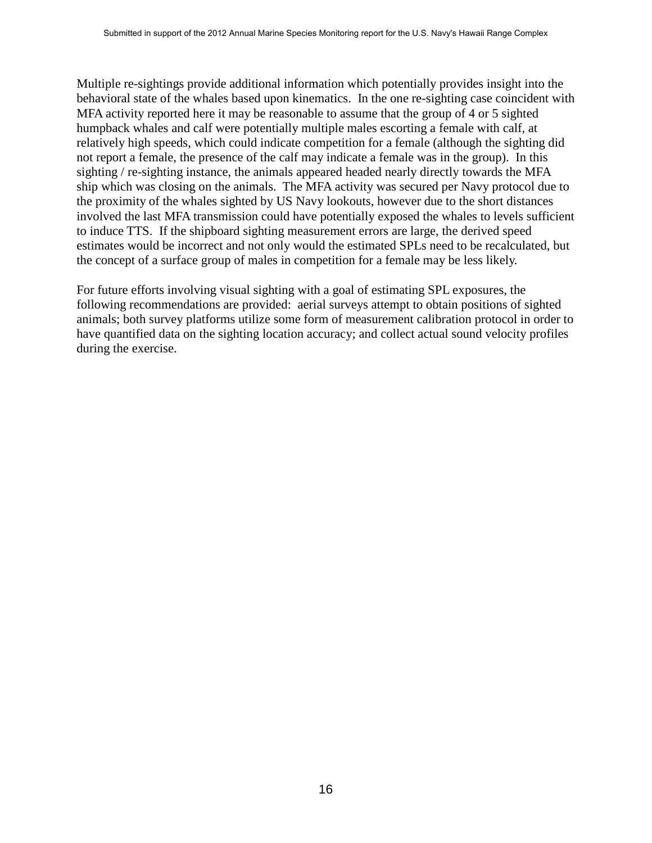Multiple re-sightings provide additional information which potentially provides insight into the behavioral state of the whales based upon kinematics. In the one re-sighting case coincident with MFA activity reported here it may be reasonable to assume that the group of 4 or 5 sighted humpback whales and calf were potentially multiple males escorting a female with calf, at relatively high speeds, which could indicate competition for a female (although the sighting did not report a female, the presence of the calf may indicate a female was in the group). In this sighting / re-sighting instance, the animals appeared headed nearly directly towards the MFA ship which was closing on the animals. The MFA activity was secured per Navy protocol due to the proximity of the whales sighted by US Navy lookouts, however due to the short distances involved the last MFA transmission could have potentially exposed the whales to levels sufficient to induce TTS. If the shipboard sighting measurement errors are large, the derived speed estimates would be incorrect and not only would the estimated SPLs need to be recalculated, but the concept of a surface group of males in competition for a female may be less likely.

For future efforts involving visual sighting with a goal of estimating SPL exposures, the following recommendations are provided: aerial surveys attempt to obtain positions of sighted animals; both survey platforms utilize some form of measurement calibration protocol in order to have quantified data on the sighting location accuracy; and collect actual sound velocity profiles during the exercise.